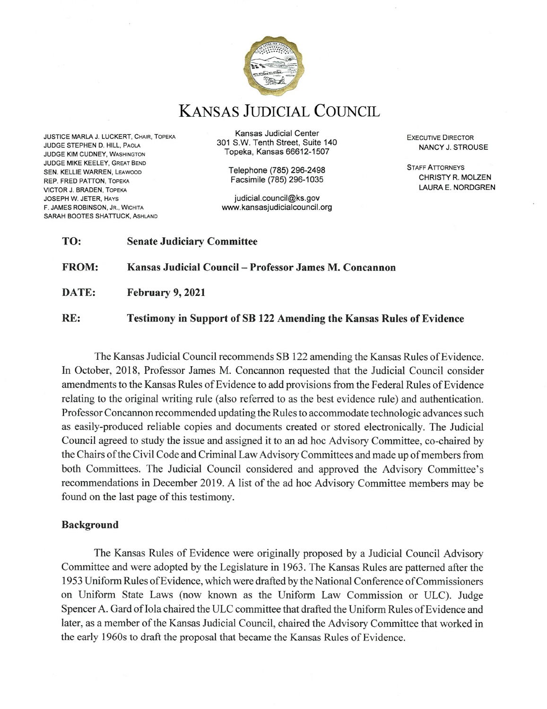

**KANSAS JUDICIAL COUNCIL** 

JUSTICE MARLA J. LUCKERT, CHAIR, TOPEKA JUDGE STEPHEN D. HILL, PAOLA **JUDGE KIM CUDNEY, WASHINGTON** JUDGE MIKE KEELEY, GREAT BEND SEN. KELLIE WARREN, LEAWOOD REP. FRED PATTON, TOPEKA **VICTOR J. BRADEN, TOPEKA JOSEPH W. JETER, HAYS** F. JAMES ROBINSON, JR., WICHITA SARAH BOOTES SHATTUCK, ASHLAND

Kansas Judicial Center 301 S.W. Tenth Street, Suite 140 Topeka, Kansas 66612-1507

> Telephone (785) 296-2498 Facsimile (785) 296-1035

judicial.council@ks.gov www.kansasjudicialcouncil.org **EXECUTIVE DIRECTOR** NANCY J. STROUSE

**STAFF ATTORNEYS** CHRISTY R. MOLZEN LAURA E. NORDGREN

| TO:          | <b>Senate Judiciary Committee</b>                      |
|--------------|--------------------------------------------------------|
| <b>FROM:</b> | Kansas Judicial Council – Professor James M. Concannon |
| DATE:        | February 9, 2021                                       |

RE: Testimony in Support of SB 122 Amending the Kansas Rules of Evidence

The Kansas Judicial Council recommends SB 122 amending the Kansas Rules of Evidence. In October, 2018, Professor James M. Concannon requested that the Judicial Council consider amendments to the Kansas Rules of Evidence to add provisions from the Federal Rules of Evidence relating to the original writing rule (also referred to as the best evidence rule) and authentication. Professor Concannon recommended updating the Rules to accommodate technologic advances such as easily-produced reliable copies and documents created or stored electronically. The Judicial Council agreed to study the issue and assigned it to an ad hoc Advisory Committee, co-chaired by the Chairs of the Civil Code and Criminal Law Advisory Committees and made up of members from both Committees. The Judicial Council considered and approved the Advisory Committee's recommendations in December 2019. A list of the ad hoc Advisory Committee members may be found on the last page of this testimony.

### Background

The Kansas Rules of Evidence were originally proposed by a Judicial Council Advisory Committee and were adopted by the Legislature in 1963. The Kansas Rules are patterned after the 1953 Uniform Rules of Evidence, which were drafted by the National Conference of Commissioners on Uniform State Laws (now known as the Uniform Law Commission or ULC). Judge Spencer A. Gard of Iola chaired the ULC committee that drafted the Uniform Rules of Evidence and later, as a member of the Kansas Judicial Council, chaired the Advisory Committee that worked in the early 1960s to draft the proposal that became the Kansas Rules of Evidence.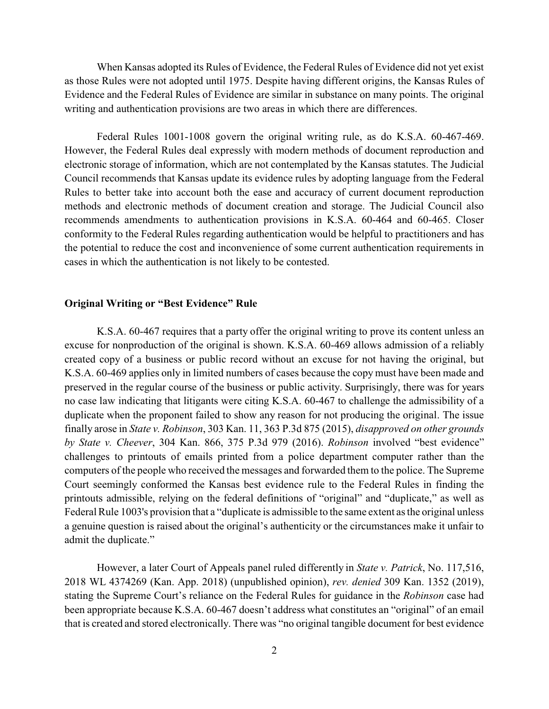When Kansas adopted its Rules of Evidence, the Federal Rules of Evidence did not yet exist as those Rules were not adopted until 1975. Despite having different origins, the Kansas Rules of Evidence and the Federal Rules of Evidence are similar in substance on many points. The original writing and authentication provisions are two areas in which there are differences.

Federal Rules 1001-1008 govern the original writing rule, as do K.S.A. 60-467-469. However, the Federal Rules deal expressly with modern methods of document reproduction and electronic storage of information, which are not contemplated by the Kansas statutes. The Judicial Council recommends that Kansas update its evidence rules by adopting language from the Federal Rules to better take into account both the ease and accuracy of current document reproduction methods and electronic methods of document creation and storage. The Judicial Council also recommends amendments to authentication provisions in K.S.A. 60-464 and 60-465. Closer conformity to the Federal Rules regarding authentication would be helpful to practitioners and has the potential to reduce the cost and inconvenience of some current authentication requirements in cases in which the authentication is not likely to be contested.

#### **Original Writing or "Best Evidence" Rule**

K.S.A. 60-467 requires that a party offer the original writing to prove its content unless an excuse for nonproduction of the original is shown. K.S.A. 60-469 allows admission of a reliably created copy of a business or public record without an excuse for not having the original, but K.S.A. 60-469 applies only in limited numbers of cases because the copy must have been made and preserved in the regular course of the business or public activity. Surprisingly, there was for years no case law indicating that litigants were citing K.S.A. 60-467 to challenge the admissibility of a duplicate when the proponent failed to show any reason for not producing the original. The issue finally arose in *State v. Robinson*, 303 Kan. 11, 363 P.3d 875 (2015), *disapproved on other grounds by State v. Cheever*, 304 Kan. 866, 375 P.3d 979 (2016). *Robinson* involved "best evidence" challenges to printouts of emails printed from a police department computer rather than the computers of the people who received the messages and forwarded them to the police. The Supreme Court seemingly conformed the Kansas best evidence rule to the Federal Rules in finding the printouts admissible, relying on the federal definitions of "original" and "duplicate," as well as Federal Rule 1003's provision that a "duplicate is admissible to the same extent as the original unless a genuine question is raised about the original's authenticity or the circumstances make it unfair to admit the duplicate."

However, a later Court of Appeals panel ruled differently in *State v. Patrick*, No. 117,516, 2018 WL 4374269 (Kan. App. 2018) (unpublished opinion), *rev. denied* 309 Kan. 1352 (2019), stating the Supreme Court's reliance on the Federal Rules for guidance in the *Robinson* case had been appropriate because K.S.A. 60-467 doesn't address what constitutes an "original" of an email that is created and stored electronically. There was "no original tangible document for best evidence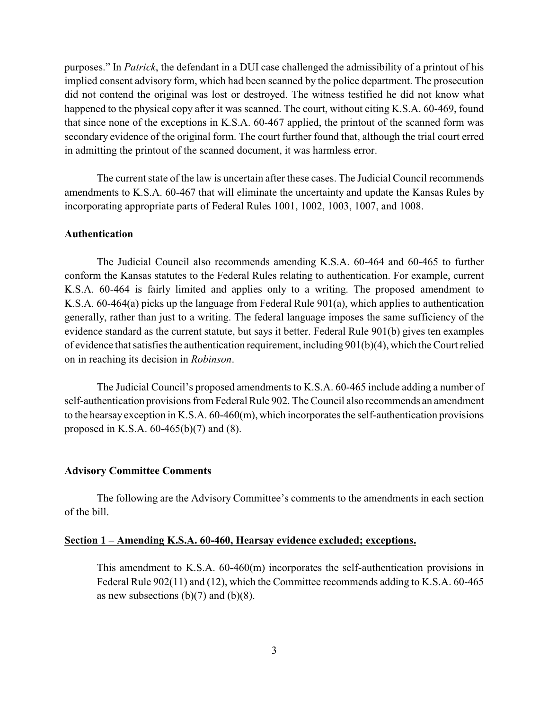purposes." In *Patrick*, the defendant in a DUI case challenged the admissibility of a printout of his implied consent advisory form, which had been scanned by the police department. The prosecution did not contend the original was lost or destroyed. The witness testified he did not know what happened to the physical copy after it was scanned. The court, without citing K.S.A. 60-469, found that since none of the exceptions in K.S.A. 60-467 applied, the printout of the scanned form was secondary evidence of the original form. The court further found that, although the trial court erred in admitting the printout of the scanned document, it was harmless error.

The current state of the law is uncertain after these cases. The Judicial Council recommends amendments to K.S.A. 60-467 that will eliminate the uncertainty and update the Kansas Rules by incorporating appropriate parts of Federal Rules 1001, 1002, 1003, 1007, and 1008.

#### **Authentication**

The Judicial Council also recommends amending K.S.A. 60-464 and 60-465 to further conform the Kansas statutes to the Federal Rules relating to authentication. For example, current K.S.A. 60-464 is fairly limited and applies only to a writing. The proposed amendment to K.S.A. 60-464(a) picks up the language from Federal Rule 901(a), which applies to authentication generally, rather than just to a writing. The federal language imposes the same sufficiency of the evidence standard as the current statute, but says it better. Federal Rule 901(b) gives ten examples of evidence that satisfies the authentication requirement, including 901(b)(4), which the Court relied on in reaching its decision in *Robinson*.

The Judicial Council's proposed amendments to K.S.A. 60-465 include adding a number of self-authentication provisions from Federal Rule 902. The Council also recommends an amendment to the hearsay exception in K.S.A. 60-460(m), which incorporates the self-authentication provisions proposed in K.S.A. 60-465(b)(7) and (8).

#### **Advisory Committee Comments**

The following are the Advisory Committee's comments to the amendments in each section of the bill.

#### **Section 1 – Amending K.S.A. 60-460, Hearsay evidence excluded; exceptions.**

This amendment to K.S.A. 60-460(m) incorporates the self-authentication provisions in Federal Rule 902(11) and (12), which the Committee recommends adding to K.S.A. 60-465 as new subsections  $(b)(7)$  and  $(b)(8)$ .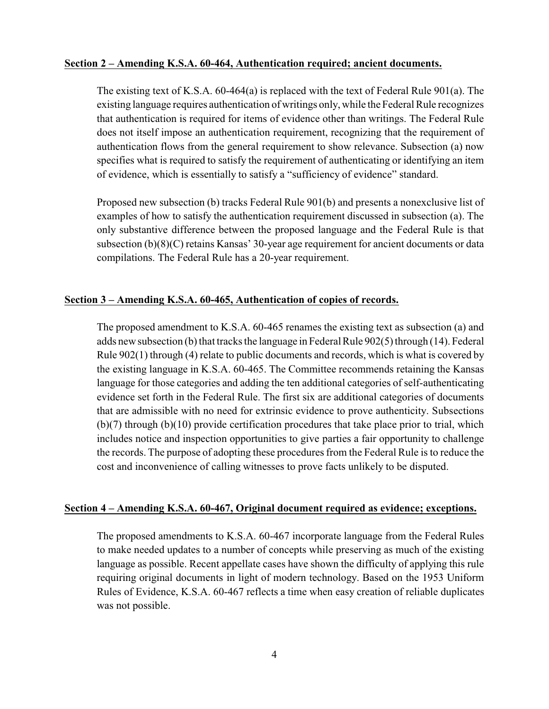### **Section 2 – Amending K.S.A. 60-464, Authentication required; ancient documents.**

The existing text of K.S.A.  $60-464(a)$  is replaced with the text of Federal Rule 901(a). The existing language requires authentication of writings only, while the Federal Rule recognizes that authentication is required for items of evidence other than writings. The Federal Rule does not itself impose an authentication requirement, recognizing that the requirement of authentication flows from the general requirement to show relevance. Subsection (a) now specifies what is required to satisfy the requirement of authenticating or identifying an item of evidence, which is essentially to satisfy a "sufficiency of evidence" standard.

Proposed new subsection (b) tracks Federal Rule 901(b) and presents a nonexclusive list of examples of how to satisfy the authentication requirement discussed in subsection (a). The only substantive difference between the proposed language and the Federal Rule is that subsection (b)(8)(C) retains Kansas' 30-year age requirement for ancient documents or data compilations. The Federal Rule has a 20-year requirement.

# **Section 3 – Amending K.S.A. 60-465, Authentication of copies of records.**

The proposed amendment to K.S.A. 60-465 renames the existing text as subsection (a) and adds new subsection (b) that tracks the language in Federal Rule 902(5) through (14). Federal Rule 902(1) through (4) relate to public documents and records, which is what is covered by the existing language in K.S.A. 60-465. The Committee recommends retaining the Kansas language for those categories and adding the ten additional categories of self-authenticating evidence set forth in the Federal Rule. The first six are additional categories of documents that are admissible with no need for extrinsic evidence to prove authenticity. Subsections (b)(7) through (b)(10) provide certification procedures that take place prior to trial, which includes notice and inspection opportunities to give parties a fair opportunity to challenge the records. The purpose of adopting these procedures from the Federal Rule is to reduce the cost and inconvenience of calling witnesses to prove facts unlikely to be disputed.

# **Section 4 – Amending K.S.A. 60-467, Original document required as evidence; exceptions.**

The proposed amendments to K.S.A. 60-467 incorporate language from the Federal Rules to make needed updates to a number of concepts while preserving as much of the existing language as possible. Recent appellate cases have shown the difficulty of applying this rule requiring original documents in light of modern technology. Based on the 1953 Uniform Rules of Evidence, K.S.A. 60-467 reflects a time when easy creation of reliable duplicates was not possible.